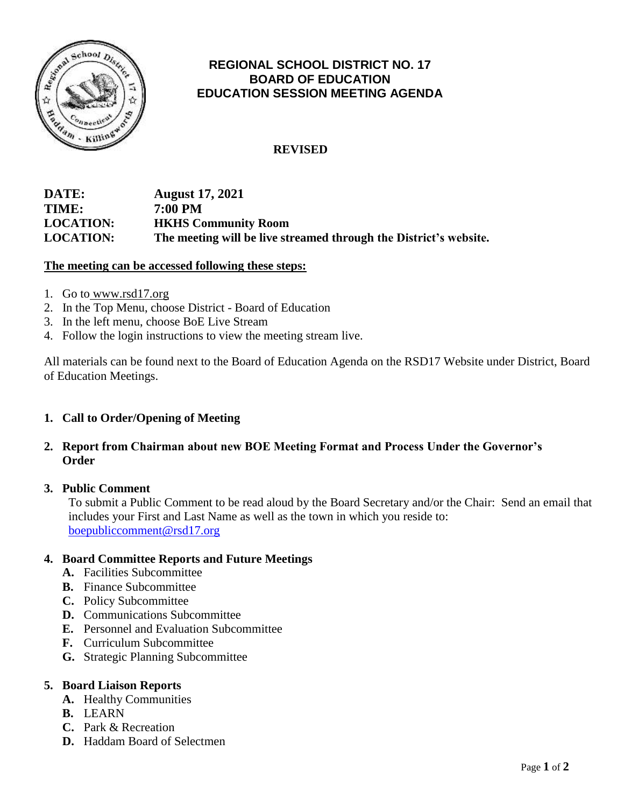

## **REGIONAL SCHOOL DISTRICT NO. 17 BOARD OF EDUCATION EDUCATION SESSION MEETING AGENDA**

## **REVISED**

## **DATE: August 17, 2021 TIME: 7:00 PM LOCATION: HKHS Community Room LOCATION: The meeting will be live streamed through the District's website.**

#### **The meeting can be accessed following these steps:**

- 1. Go to [www.rsd17.org](http://www.rsd17.org/)
- 2. In the Top Menu, choose District Board of Education
- 3. In the left menu, choose BoE Live Stream
- 4. Follow the login instructions to view the meeting stream live.

All materials can be found next to the Board of Education Agenda on the RSD17 Website under District, Board of Education Meetings.

### **1. Call to Order/Opening of Meeting**

## **2. Report from Chairman about new BOE Meeting Format and Process Under the Governor's Order**

#### **3. Public Comment**

 To submit a Public Comment to be read aloud by the Board Secretary and/or the Chair: Send an email that includes your First and Last Name as well as the town in which you reside to: [boepubliccomment@rsd17.org](mailto:boepubliccomment@rsd17.org)

#### **4. Board Committee Reports and Future Meetings**

- **A.** Facilities Subcommittee
- **B.** Finance Subcommittee
- **C.** Policy Subcommittee
- **D.** Communications Subcommittee
- **E.** Personnel and Evaluation Subcommittee
- **F.** Curriculum Subcommittee
- **G.** Strategic Planning Subcommittee

#### **5. Board Liaison Reports**

- **A.** Healthy Communities
- **B.** LEARN
- **C.** Park & Recreation
- **D.** Haddam Board of Selectmen